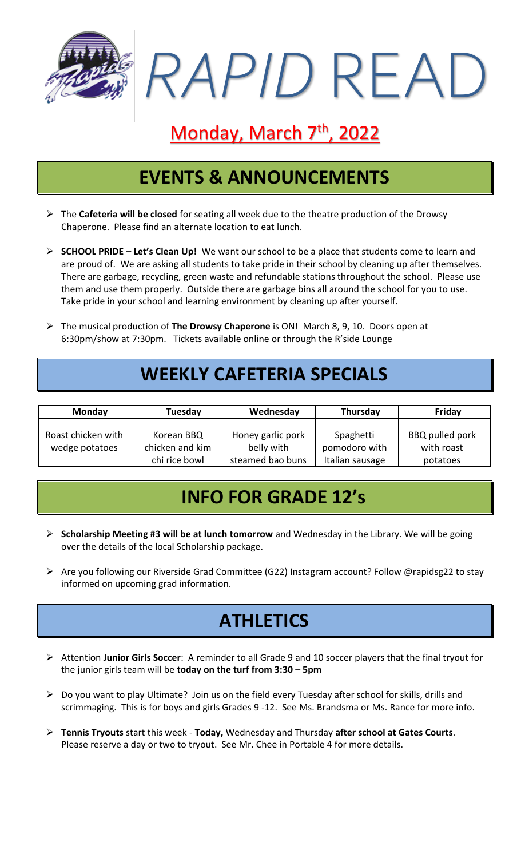

# Monday, March 7<sup>th</sup>, 2022

### **EVENTS & ANNOUNCEMENTS**

- ➢ The **Cafeteria will be closed** for seating all week due to the theatre production of the Drowsy Chaperone. Please find an alternate location to eat lunch.
- ➢ **SCHOOL PRIDE – Let's Clean Up!** We want our school to be a place that students come to learn and are proud of. We are asking all students to take pride in their school by cleaning up after themselves. There are garbage, recycling, green waste and refundable stations throughout the school. Please use them and use them properly. Outside there are garbage bins all around the school for you to use. Take pride in your school and learning environment by cleaning up after yourself.
- ➢ The musical production of **The Drowsy Chaperone** is ON! March 8, 9, 10. Doors open at 6:30pm/show at 7:30pm. Tickets available online or through the R'side Lounge

## **WEEKLY CAFETERIA SPECIALS**

| <b>Monday</b>                        | Tuesday                                        | Wednesday                                           | Thursday                                      | Friday                                    |
|--------------------------------------|------------------------------------------------|-----------------------------------------------------|-----------------------------------------------|-------------------------------------------|
| Roast chicken with<br>wedge potatoes | Korean BBQ<br>chicken and kim<br>chi rice bowl | Honey garlic pork<br>belly with<br>steamed bao buns | Spaghetti<br>pomodoro with<br>Italian sausage | BBQ pulled pork<br>with roast<br>potatoes |

#### **INFO FOR GRADE 12's**

- ➢ **Scholarship Meeting #3 will be at lunch tomorrow** and Wednesday in the Library. We will be going over the details of the local Scholarship package.
- ➢ Are you following our Riverside Grad Committee (G22) Instagram account? Follow @rapidsg22 to stay informed on upcoming grad information.

#### **ATHLETICS**

- ➢ Attention **Junior Girls Soccer**: A reminder to all Grade 9 and 10 soccer players that the final tryout for the junior girls team will be **today on the turf from 3:30 – 5pm**
- ➢ Do you want to play Ultimate? Join us on the field every Tuesday after school for skills, drills and scrimmaging. This is for boys and girls Grades 9 -12. See Ms. Brandsma or Ms. Rance for more info.
- ➢ **Tennis Tryouts** start this week **Today,** Wednesday and Thursday **after school at Gates Courts**. Please reserve a day or two to tryout. See Mr. Chee in Portable 4 for more details.